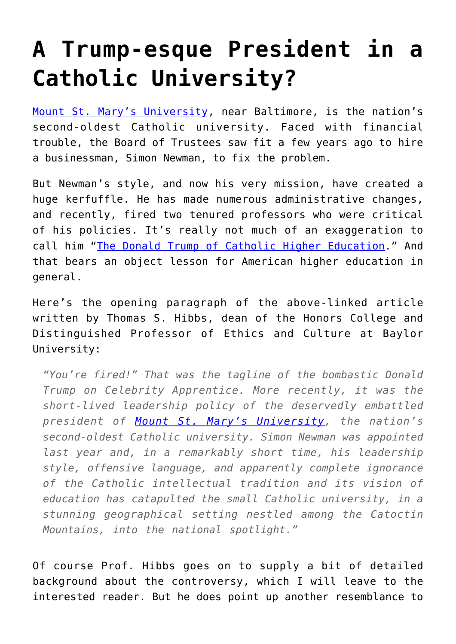## **[A Trump-esque President in a](https://intellectualtakeout.org/2016/02/a-trump-esque-president-in-a-catholic-university/) [Catholic University?](https://intellectualtakeout.org/2016/02/a-trump-esque-president-in-a-catholic-university/)**

[Mount St. Mary's University,](http://msmary.edu/) near Baltimore, is the nation's second-oldest Catholic university. Faced with financial trouble, the Board of Trustees saw fit a few years ago to hire a businessman, Simon Newman, to fix the problem.

But Newman's style, and now his very mission, have created a huge kerfuffle. He has made numerous administrative changes, and recently, fired two tenured professors who were critical of his policies. It's really not much of an exaggeration to call him ["The Donald Trump of Catholic Higher Education.](http://www.catholicworldreport.com/Item/4576/the_donald_trump_of_catholic_higher_education.aspx)" And that bears an object lesson for American higher education in general.

Here's the opening paragraph of the above-linked article written by Thomas S. Hibbs, dean of the Honors College and Distinguished Professor of Ethics and Culture at Baylor University:

*"You're fired!" That was the tagline of the bombastic Donald Trump on Celebrity Apprentice. More recently, it was the short-lived leadership policy of the deservedly embattled president of [Mount St. Mary's University](http://msmary.edu/), the nation's second-oldest Catholic university. Simon Newman was appointed last year and, in a remarkably short time, his leadership style, offensive language, and apparently complete ignorance of the Catholic intellectual tradition and its vision of education has catapulted the small Catholic university, in a stunning geographical setting nestled among the Catoctin Mountains, into the national spotlight."*

Of course Prof. Hibbs goes on to supply a bit of detailed background about the controversy, which I will leave to the interested reader. But he does point up another resemblance to